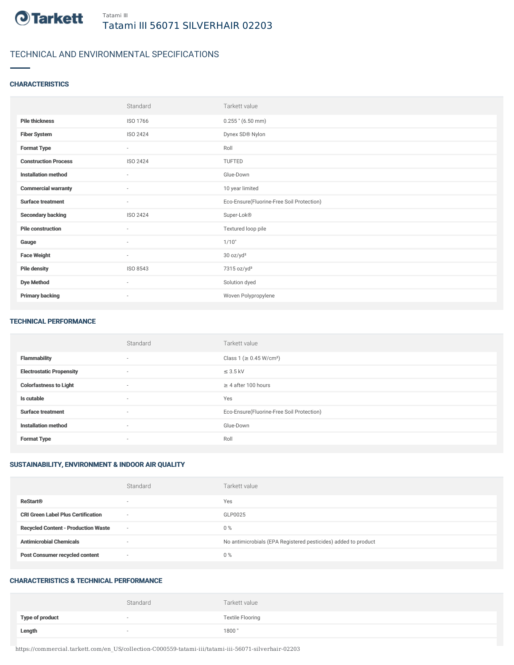

# TECHNICAL AND ENVIRONMENTAL SPECIFICATIONS

## **CHARACTERISTICS**

|                             | Standard                 | Tarkett value                             |
|-----------------------------|--------------------------|-------------------------------------------|
| <b>Pile thickness</b>       | ISO 1766                 | $0.255$ " (6.50 mm)                       |
| <b>Fiber System</b>         | ISO 2424                 | Dynex SD® Nylon                           |
| <b>Format Type</b>          | $\overline{\phantom{a}}$ | Roll                                      |
| <b>Construction Process</b> | ISO 2424                 | TUFTED                                    |
| <b>Installation method</b>  | ٠                        | Glue-Down                                 |
| <b>Commercial warranty</b>  | ٠                        | 10 year limited                           |
| <b>Surface treatment</b>    | ٠                        | Eco-Ensure(Fluorine-Free Soil Protection) |
| <b>Secondary backing</b>    | ISO 2424                 | Super-Lok®                                |
| <b>Pile construction</b>    | $\sim$                   | Textured loop pile                        |
| Gauge                       | $\sim$                   | 1/10"                                     |
| <b>Face Weight</b>          | $\sim$                   | 30 oz/yd <sup>2</sup>                     |
| <b>Pile density</b>         | ISO 8543                 | 7315 oz/yd <sup>3</sup>                   |
| <b>Dye Method</b>           | $\sim$                   | Solution dyed                             |
| <b>Primary backing</b>      | $\overline{\phantom{a}}$ | Woven Polypropylene                       |

#### TECHNICAL PERFORMANCE

|                                 | Standard                 | Tarkett value                             |
|---------------------------------|--------------------------|-------------------------------------------|
| <b>Flammability</b>             | $\sim$                   | Class 1 (≥ 0.45 W/cm <sup>2</sup> )       |
| <b>Electrostatic Propensity</b> | $\sim$                   | $\leq$ 3.5 kV                             |
| <b>Colorfastness to Light</b>   | $\sim$                   | $\geq$ 4 after 100 hours                  |
| Is cutable                      | $\sim$                   | Yes                                       |
| <b>Surface treatment</b>        | $\overline{\phantom{a}}$ | Eco-Ensure(Fluorine-Free Soil Protection) |
| <b>Installation method</b>      | $\sim$                   | Glue-Down                                 |
| <b>Format Type</b>              | $\overline{\phantom{a}}$ | Roll                                      |

## SUSTAINABILITY, ENVIRONMENT & INDOOR AIR QUALITY

|                                            | Standard                 | Tarkett value                                                  |
|--------------------------------------------|--------------------------|----------------------------------------------------------------|
| <b>ReStart®</b>                            | $\overline{\phantom{a}}$ | Yes                                                            |
| <b>CRI Green Label Plus Certification</b>  | $\overline{\phantom{a}}$ | GLP0025                                                        |
| <b>Recycled Content - Production Waste</b> | $\sim$                   | $0\%$                                                          |
| <b>Antimicrobial Chemicals</b>             | $\overline{\phantom{a}}$ | No antimicrobials (EPA Registered pesticides) added to product |
| <b>Post Consumer recycled content</b>      | $\overline{\phantom{a}}$ | $0\%$                                                          |

#### CHARACTERISTICS & TECHNICAL PERFORMANCE

|                        | Standard                 | Tarkett value           |
|------------------------|--------------------------|-------------------------|
| <b>Type of product</b> | $\overline{\phantom{a}}$ | <b>Textile Flooring</b> |
| Length                 |                          | 1800"                   |

https://commercial.tarkett.com/en\_US/collection-C000559-tatami-iii/tatami-iii-56071-silverhair-02203